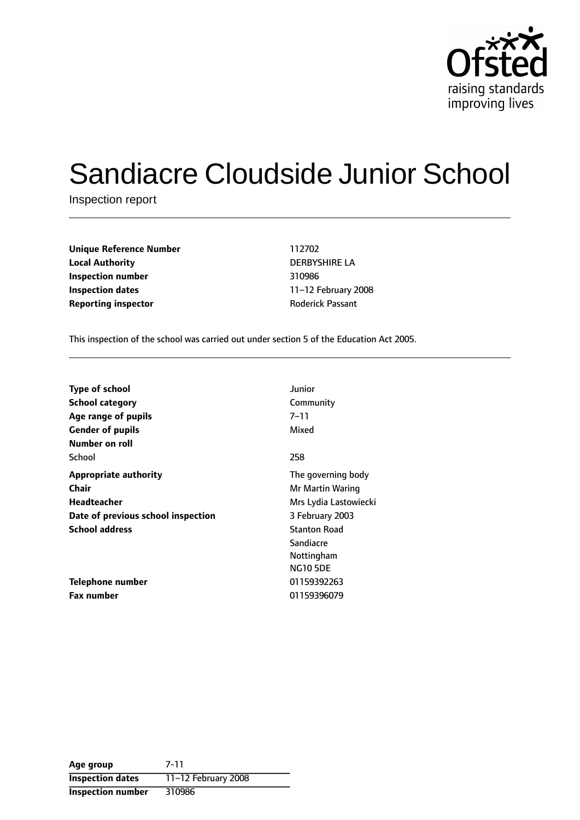

# Sandiacre Cloudside Junior School

Inspection report

| <b>Unique Reference Number</b> | 112702                  |
|--------------------------------|-------------------------|
| <b>Local Authority</b>         | <b>DERBYSHIRE LA</b>    |
| Inspection number              | 310986                  |
| Inspection dates               | 11-12 February 2        |
| <b>Reporting inspector</b>     | <b>Roderick Passant</b> |

**Unique Reference Number** 112702 **Local Authority** DERBYSHIRE LA **Inspection number** 310986 **Inspection dates** 1112 February 2008

This inspection of the school was carried out under section 5 of the Education Act 2005.

| <b>Type of school</b>              | Junior                |
|------------------------------------|-----------------------|
| <b>School category</b>             | Community             |
| Age range of pupils                | $7 - 11$              |
| <b>Gender of pupils</b>            | Mixed                 |
| Number on roll                     |                       |
| School                             | 258                   |
| <b>Appropriate authority</b>       | The governing body    |
| <b>Chair</b>                       | Mr Martin Waring      |
| Headteacher                        | Mrs Lydia Lastowiecki |
| Date of previous school inspection | 3 February 2003       |
| <b>School address</b>              | <b>Stanton Road</b>   |
|                                    | Sandiacre             |
|                                    | Nottingham            |
|                                    | <b>NG10 5DE</b>       |
| Telephone number                   | 01159392263           |
| <b>Fax number</b>                  | 01159396079           |

| Age group                | $7 - 11$            |
|--------------------------|---------------------|
| <b>Inspection dates</b>  | 11-12 February 2008 |
| <b>Inspection number</b> | 310986              |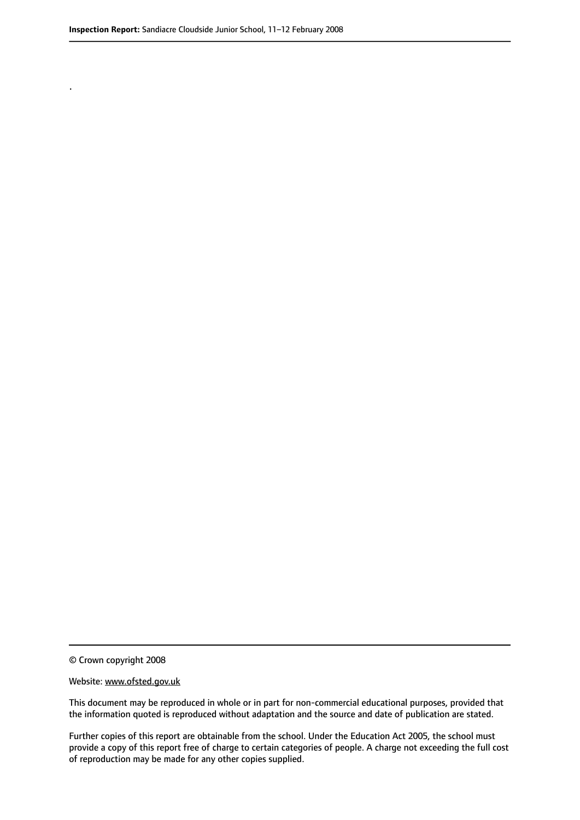.

© Crown copyright 2008

#### Website: www.ofsted.gov.uk

This document may be reproduced in whole or in part for non-commercial educational purposes, provided that the information quoted is reproduced without adaptation and the source and date of publication are stated.

Further copies of this report are obtainable from the school. Under the Education Act 2005, the school must provide a copy of this report free of charge to certain categories of people. A charge not exceeding the full cost of reproduction may be made for any other copies supplied.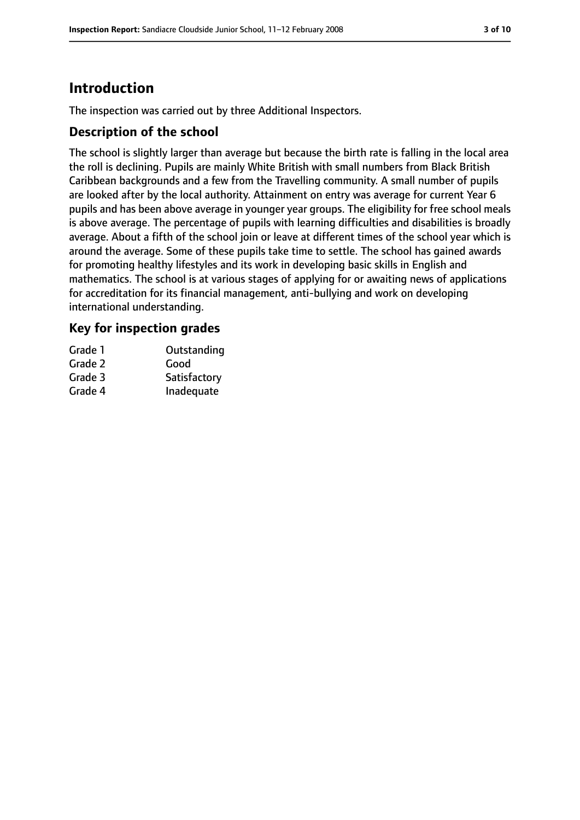# **Introduction**

The inspection was carried out by three Additional Inspectors.

## **Description of the school**

The school is slightly larger than average but because the birth rate is falling in the local area the roll is declining. Pupils are mainly White British with small numbers from Black British Caribbean backgrounds and a few from the Travelling community. A small number of pupils are looked after by the local authority. Attainment on entry was average for current Year 6 pupils and has been above average in younger year groups. The eligibility for free school meals is above average. The percentage of pupils with learning difficulties and disabilities is broadly average. About a fifth of the school join or leave at different times of the school year which is around the average. Some of these pupils take time to settle. The school has gained awards for promoting healthy lifestyles and its work in developing basic skills in English and mathematics. The school is at various stages of applying for or awaiting news of applications for accreditation for its financial management, anti-bullying and work on developing international understanding.

## **Key for inspection grades**

| Grade 1 | Outstanding  |
|---------|--------------|
| Grade 2 | Good         |
| Grade 3 | Satisfactory |
| Grade 4 | Inadequate   |
|         |              |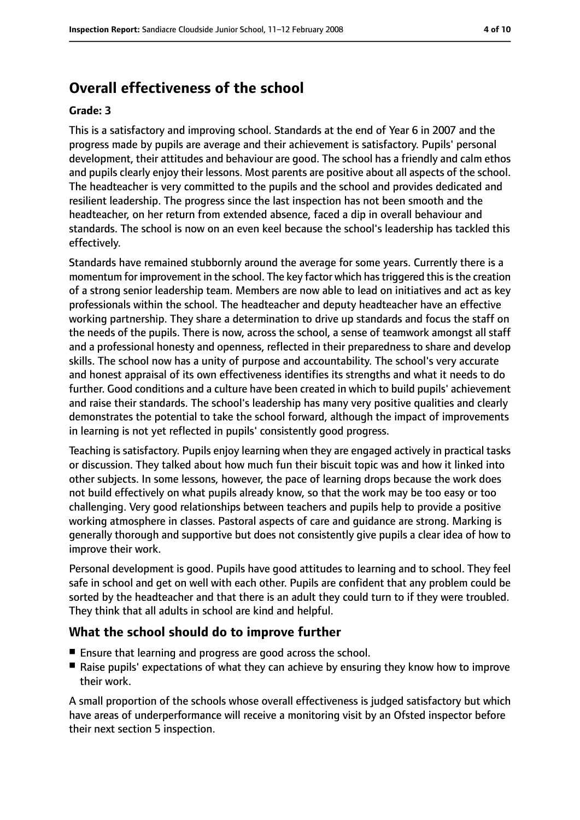# **Overall effectiveness of the school**

#### **Grade: 3**

This is a satisfactory and improving school. Standards at the end of Year 6 in 2007 and the progress made by pupils are average and their achievement is satisfactory. Pupils' personal development, their attitudes and behaviour are good. The school has a friendly and calm ethos and pupils clearly enjoy their lessons. Most parents are positive about all aspects of the school. The headteacher is very committed to the pupils and the school and provides dedicated and resilient leadership. The progress since the last inspection has not been smooth and the headteacher, on her return from extended absence, faced a dip in overall behaviour and standards. The school is now on an even keel because the school's leadership has tackled this effectively.

Standards have remained stubbornly around the average for some years. Currently there is a momentum for improvement in the school. The key factor which has triggered this is the creation of a strong senior leadership team. Members are now able to lead on initiatives and act as key professionals within the school. The headteacher and deputy headteacher have an effective working partnership. They share a determination to drive up standards and focus the staff on the needs of the pupils. There is now, across the school, a sense of teamwork amongst all staff and a professional honesty and openness, reflected in their preparedness to share and develop skills. The school now has a unity of purpose and accountability. The school's very accurate and honest appraisal of its own effectiveness identifies its strengths and what it needs to do further. Good conditions and a culture have been created in which to build pupils' achievement and raise their standards. The school's leadership has many very positive qualities and clearly demonstrates the potential to take the school forward, although the impact of improvements in learning is not yet reflected in pupils' consistently good progress.

Teaching is satisfactory. Pupils enjoy learning when they are engaged actively in practical tasks or discussion. They talked about how much fun their biscuit topic was and how it linked into other subjects. In some lessons, however, the pace of learning drops because the work does not build effectively on what pupils already know, so that the work may be too easy or too challenging. Very good relationships between teachers and pupils help to provide a positive working atmosphere in classes. Pastoral aspects of care and guidance are strong. Marking is generally thorough and supportive but does not consistently give pupils a clear idea of how to improve their work.

Personal development is good. Pupils have good attitudes to learning and to school. They feel safe in school and get on well with each other. Pupils are confident that any problem could be sorted by the headteacher and that there is an adult they could turn to if they were troubled. They think that all adults in school are kind and helpful.

## **What the school should do to improve further**

- Ensure that learning and progress are good across the school.
- Raise pupils' expectations of what they can achieve by ensuring they know how to improve their work.

A small proportion of the schools whose overall effectiveness is judged satisfactory but which have areas of underperformance will receive a monitoring visit by an Ofsted inspector before their next section 5 inspection.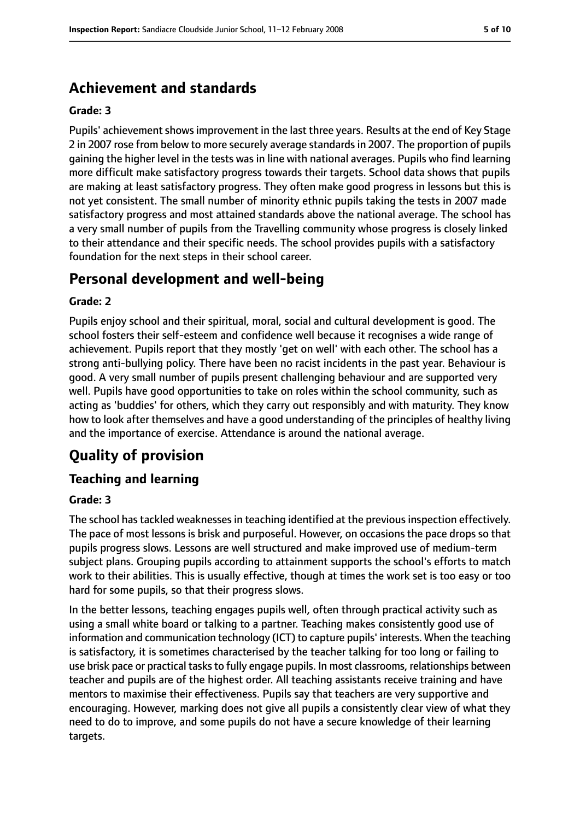# **Achievement and standards**

#### **Grade: 3**

Pupils' achievement shows improvement in the last three years. Results at the end of Key Stage 2 in 2007 rose from below to more securely average standards in 2007. The proportion of pupils gaining the higher level in the tests was in line with national averages. Pupils who find learning more difficult make satisfactory progress towards their targets. School data shows that pupils are making at least satisfactory progress. They often make good progress in lessons but this is not yet consistent. The small number of minority ethnic pupils taking the tests in 2007 made satisfactory progress and most attained standards above the national average. The school has a very small number of pupils from the Travelling community whose progress is closely linked to their attendance and their specific needs. The school provides pupils with a satisfactory foundation for the next steps in their school career.

## **Personal development and well-being**

#### **Grade: 2**

Pupils enjoy school and their spiritual, moral, social and cultural development is good. The school fosters their self-esteem and confidence well because it recognises a wide range of achievement. Pupils report that they mostly 'get on well' with each other. The school has a strong anti-bullying policy. There have been no racist incidents in the past year. Behaviour is good. A very small number of pupils present challenging behaviour and are supported very well. Pupils have good opportunities to take on roles within the school community, such as acting as 'buddies' for others, which they carry out responsibly and with maturity. They know how to look after themselves and have a good understanding of the principles of healthy living and the importance of exercise. Attendance is around the national average.

# **Quality of provision**

## **Teaching and learning**

#### **Grade: 3**

The school has tackled weaknesses in teaching identified at the previous inspection effectively. The pace of most lessons is brisk and purposeful. However, on occasions the pace drops so that pupils progress slows. Lessons are well structured and make improved use of medium-term subject plans. Grouping pupils according to attainment supports the school's efforts to match work to their abilities. This is usually effective, though at times the work set is too easy or too hard for some pupils, so that their progress slows.

In the better lessons, teaching engages pupils well, often through practical activity such as using a small white board or talking to a partner. Teaching makes consistently good use of information and communication technology (ICT) to capture pupils' interests. When the teaching is satisfactory, it is sometimes characterised by the teacher talking for too long or failing to use brisk pace or practical tasksto fully engage pupils. In most classrooms, relationships between teacher and pupils are of the highest order. All teaching assistants receive training and have mentors to maximise their effectiveness. Pupils say that teachers are very supportive and encouraging. However, marking does not give all pupils a consistently clear view of what they need to do to improve, and some pupils do not have a secure knowledge of their learning targets.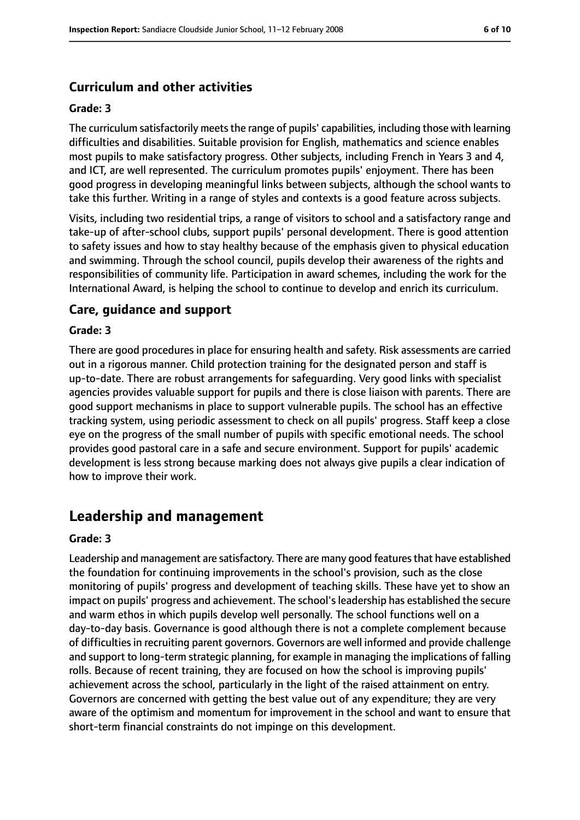## **Curriculum and other activities**

#### **Grade: 3**

The curriculum satisfactorily meets the range of pupils' capabilities, including those with learning difficulties and disabilities. Suitable provision for English, mathematics and science enables most pupils to make satisfactory progress. Other subjects, including French in Years 3 and 4, and ICT, are well represented. The curriculum promotes pupils' enjoyment. There has been good progress in developing meaningful links between subjects, although the school wants to take this further. Writing in a range of styles and contexts is a good feature across subjects.

Visits, including two residential trips, a range of visitors to school and a satisfactory range and take-up of after-school clubs, support pupils' personal development. There is good attention to safety issues and how to stay healthy because of the emphasis given to physical education and swimming. Through the school council, pupils develop their awareness of the rights and responsibilities of community life. Participation in award schemes, including the work for the International Award, is helping the school to continue to develop and enrich its curriculum.

#### **Care, guidance and support**

#### **Grade: 3**

There are good procedures in place for ensuring health and safety. Risk assessments are carried out in a rigorous manner. Child protection training for the designated person and staff is up-to-date. There are robust arrangements for safeguarding. Very good links with specialist agencies provides valuable support for pupils and there is close liaison with parents. There are good support mechanisms in place to support vulnerable pupils. The school has an effective tracking system, using periodic assessment to check on all pupils' progress. Staff keep a close eye on the progress of the small number of pupils with specific emotional needs. The school provides good pastoral care in a safe and secure environment. Support for pupils' academic development is less strong because marking does not always give pupils a clear indication of how to improve their work.

## **Leadership and management**

#### **Grade: 3**

Leadership and management are satisfactory. There are many good features that have established the foundation for continuing improvements in the school's provision, such as the close monitoring of pupils' progress and development of teaching skills. These have yet to show an impact on pupils' progress and achievement. The school's leadership has established the secure and warm ethos in which pupils develop well personally. The school functions well on a day-to-day basis. Governance is good although there is not a complete complement because of difficulties in recruiting parent governors. Governors are well informed and provide challenge and support to long-term strategic planning, for example in managing the implications of falling rolls. Because of recent training, they are focused on how the school is improving pupils' achievement across the school, particularly in the light of the raised attainment on entry. Governors are concerned with getting the best value out of any expenditure; they are very aware of the optimism and momentum for improvement in the school and want to ensure that short-term financial constraints do not impinge on this development.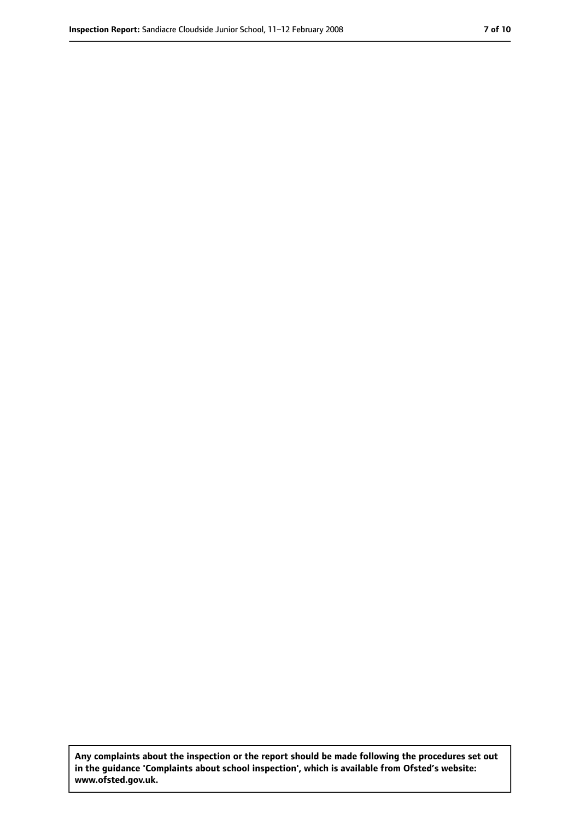**Any complaints about the inspection or the report should be made following the procedures set out in the guidance 'Complaints about school inspection', which is available from Ofsted's website: www.ofsted.gov.uk.**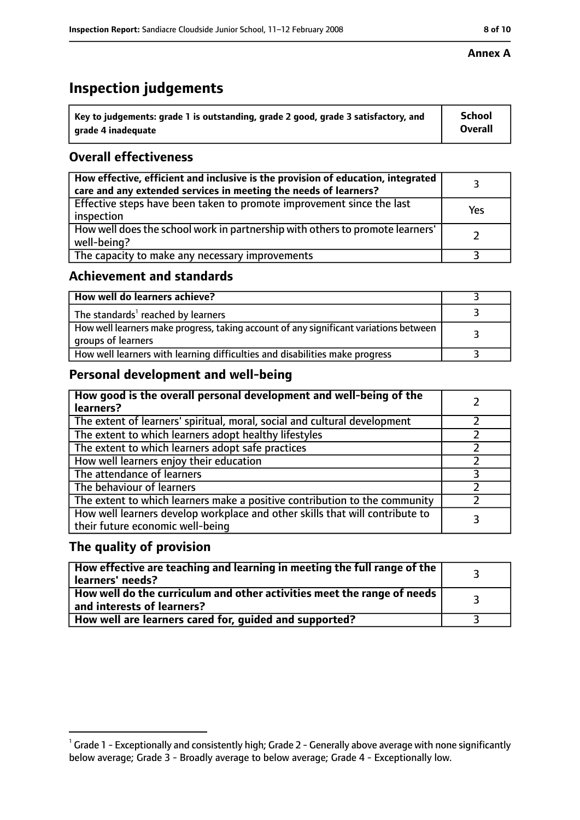# **Inspection judgements**

| $^{\backprime}$ Key to judgements: grade 1 is outstanding, grade 2 good, grade 3 satisfactory, and | <b>School</b>  |
|----------------------------------------------------------------------------------------------------|----------------|
| arade 4 inadeguate                                                                                 | <b>Overall</b> |

## **Overall effectiveness**

| How effective, efficient and inclusive is the provision of education, integrated<br>care and any extended services in meeting the needs of learners? |     |
|------------------------------------------------------------------------------------------------------------------------------------------------------|-----|
| Effective steps have been taken to promote improvement since the last<br>inspection                                                                  | Yes |
| How well does the school work in partnership with others to promote learners'<br>well-being?                                                         |     |
| The capacity to make any necessary improvements                                                                                                      |     |

## **Achievement and standards**

| How well do learners achieve?                                                                               |  |
|-------------------------------------------------------------------------------------------------------------|--|
| The standards <sup>1</sup> reached by learners                                                              |  |
| How well learners make progress, taking account of any significant variations between<br>groups of learners |  |
| How well learners with learning difficulties and disabilities make progress                                 |  |

## **Personal development and well-being**

| How good is the overall personal development and well-being of the<br>learners?                                  |  |
|------------------------------------------------------------------------------------------------------------------|--|
| The extent of learners' spiritual, moral, social and cultural development                                        |  |
| The extent to which learners adopt healthy lifestyles                                                            |  |
| The extent to which learners adopt safe practices                                                                |  |
| How well learners enjoy their education                                                                          |  |
| The attendance of learners                                                                                       |  |
| The behaviour of learners                                                                                        |  |
| The extent to which learners make a positive contribution to the community                                       |  |
| How well learners develop workplace and other skills that will contribute to<br>their future economic well-being |  |

## **The quality of provision**

| How effective are teaching and learning in meeting the full range of the<br>learners' needs?                        |  |
|---------------------------------------------------------------------------------------------------------------------|--|
| $\mid$ How well do the curriculum and other activities meet the range of needs $\mid$<br>and interests of learners? |  |
| How well are learners cared for, guided and supported?                                                              |  |

 $^1$  Grade 1 - Exceptionally and consistently high; Grade 2 - Generally above average with none significantly below average; Grade 3 - Broadly average to below average; Grade 4 - Exceptionally low.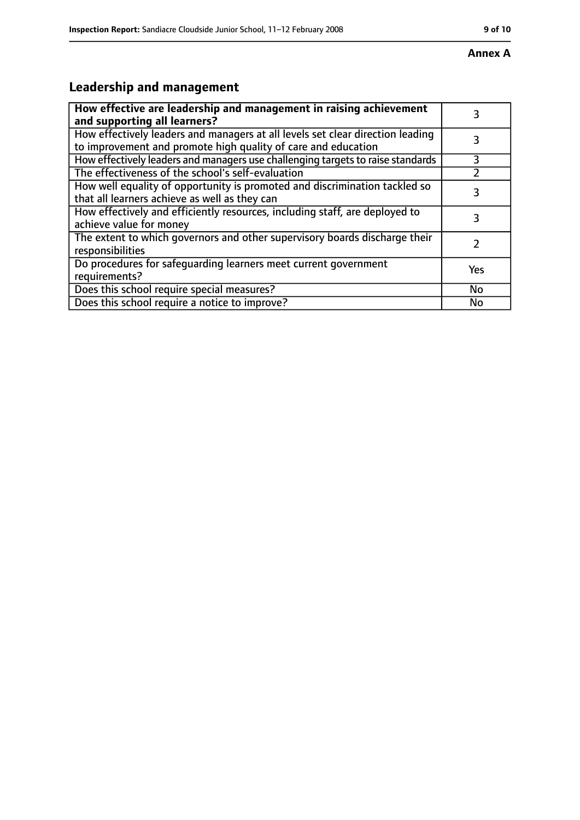# **Leadership and management**

| How effective are leadership and management in raising achievement<br>and supporting all learners?                                              | 3         |
|-------------------------------------------------------------------------------------------------------------------------------------------------|-----------|
| How effectively leaders and managers at all levels set clear direction leading<br>to improvement and promote high quality of care and education |           |
| How effectively leaders and managers use challenging targets to raise standards                                                                 | 3         |
| The effectiveness of the school's self-evaluation                                                                                               |           |
| How well equality of opportunity is promoted and discrimination tackled so<br>that all learners achieve as well as they can                     | 3         |
| How effectively and efficiently resources, including staff, are deployed to<br>achieve value for money                                          | 3         |
| The extent to which governors and other supervisory boards discharge their<br>responsibilities                                                  |           |
| Do procedures for safequarding learners meet current government<br>requirements?                                                                | Yes       |
| Does this school require special measures?                                                                                                      | <b>No</b> |
| Does this school require a notice to improve?                                                                                                   | No        |